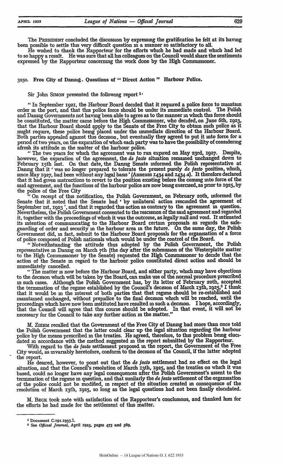The **PRESIDENT** concluded the discussion by expressing the gratification he felt at its having been possible to settle this very difficult question **in** a manner so satisfactory to all.

He wished to thank the Rapporteur for the efforts which he had made and which had led to so happy a result. He was sure that all **Ins** colleagues on the Council would share the sentiments expressed **by** the Rapporteur concerning the work done **by** the High Commissioner.

**325o.** Free City of Danzig. Questions of " Direct Action" Harbour Police.

Sir John SMON presented the following report <sup>1</sup>

*"In* September igz2, the Harbour Board decided that it required a police force to maintain order in the port, and that this police force should be under its immediate control. and Danzig Governments not having been able to agree as to the manner **in** which this force should be constituted, the matter came before the High Commissioner, who decided, on June 6th, **1923,** that the Harbour Board should **apply** to the Senate of the Free City to obtain such police as it might require, these police being placed under the immediate direction of the Harbour Board. Both parties appealed against this decision, but eventually they agreed to put it into force for a period of two years, on the expiration of which each party was to have the possibility of considering afresh its attitude **in** the matter of the harbour police.

**"** The two years for which the agreement was to run expired on May 23rd, **1927.** Despite, however, the expiration of the agreement, the *de facto* situation remained unchanged down to February 15th last. On that date, the Danzig Senate informed the Polish representative at Danzig that it 'was no longer prepared to tolerate the present purely de *facto* position, which, since May igz7, had been without any legal basis' (Annexes **1434** and **r434** *a).* It therefore declared that it had given instructions to revert to the position existing before the coming into force of the said agreement, and the functions of the harbour police are now being exercised, as prior to **1925, by** the police of the Free City

"On receipt of this notification, the Polish Government, on February **20th,** informed the Senate that it noted that the Senate had ' **by** unilateral action rescinded the agreement of September ist, **1923 ',** and that it regarded this action as contrary to the agreement in question. Nevertheless, the Polish Government consented to the rescission of the said agreement and regarded it, together with the proceedings of which it was the outcome, as legally null and void. It intimated its intention of communicating to the Harbour Board certain proposals as regards the safeguarding of order and security in the harbour area in the future. On the same day, the Polish Government did, in fact, submit to the Harbour Board proposals for the organisation of a force of police composed of Polish nationals which would be under the control of the Board.

**"** Notwithstanding the attitude thus adopted **by** the Polish Government, the Polish representative in Danzig on March 7th (the day after the submission of the Westerplatte matter **to** the **High** Comioner **by** the Senate) requested the High Commissioner to decide that the action of the Senate **in** regard to the harbour police constituted direct action and should be immediately cancelled.

*"* The matter is now before the Harbour Board, and either party, which may have objections to the decision which will be taken **by** the Board, can make use of the normal procedure prescribed **in** such cases. Although the Polish Government has, **by** its letter of February zoth, accepted the termination of the regime established by the Council's decision of March 13th, **gz5,2** I think that it would be in the interest of both parties that that regime should be re-established and maintained unchanged, without prejudice to the final decision which will be reached, until the proceedings wich have now been instituted have resulted in such a decision. I hope, accordingly, that the Council will agree that this course should be adopted. In that event, it will not be necessary for the Council to take any further action **in** the matter."

M. ZIEHM recalled that the Government of the Free City of Danzig had more than once told the Polish Government that the latter could clear up the legal situation regarding the harbour police by the means prescribed in the treaties. He agreed, therefore, to this problem being elucidated **in** accordance with the method suggested **in** the report submitted by the Rapporteur.

With regard to the **de** *facto* settlement proposed **in** the report, the Government of the Free City would, as invarably heretofore, conform to the decision of the Council, if the latter adopted the report.

He desired, however, to point out that the **de** *facto* settlement had no effect on the legal situation, and that the Council's resolution of March x3th, **3925,** and the treaties on wlnch it was based, could no longer have any legal consequences after the Polish Government's assent to the termination of the regime in question, and that similarly the de *facto* settlement of the orgainsation of the police could not be modified, **in** respect of the situation created **in** consequence of the resolution of March 13th, 1925, so long as the legal questions had not been finally elucidated.

M. BEcK took note with satisfaction of the Rapporteur's conclusions, and thanked him for the efforts he had made for the settlement of this matter.

**Document C.191.1933.I.**

*<sup>-</sup>* **See** *Official Journal,* **April r925, pages** *475* **and 569.**